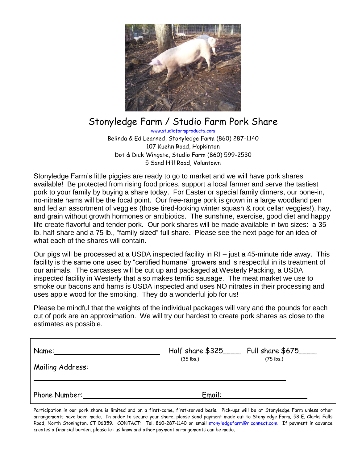

## Stonyledge Farm / Studio Farm Pork Share

www.studiofarmproducts.com Belinda & Ed Learned, Stonyledge Farm (860) 287-1140 107 Kuehn Road, Hopkinton Dot & Dick Wingate, Studio Farm (860) 599-2530 5 Sand Hill Road, Voluntown

Stonyledge Farm's little piggies are ready to go to market and we will have pork shares available! Be protected from rising food prices, support a local farmer and serve the tastiest pork to your family by buying a share today. For Easter or special family dinners, our bone-in, no-nitrate hams will be the focal point. Our free-range pork is grown in a large woodland pen and fed an assortment of veggies (those tired-looking winter squash & root cellar veggies!), hay, and grain without growth hormones or antibiotics. The sunshine, exercise, good diet and happy life create flavorful and tender pork. Our pork shares will be made available in two sizes: a 35 lb. half-share and a 75 lb., "family-sized" full share. Please see the next page for an idea of what each of the shares will contain.

Our pigs will be processed at a USDA inspected facility in RI – just a 45-minute ride away. This facility is the same one used by "certified humane" growers and is respectful in its treatment of our animals. The carcasses will be cut up and packaged at Westerly Packing, a USDA inspected facility in Westerly that also makes terrific sausage. The meat market we use to smoke our bacons and hams is USDA inspected and uses NO nitrates in their processing and uses apple wood for the smoking. They do a wonderful job for us!

Please be mindful that the weights of the individual packages will vary and the pounds for each cut of pork are an approximation. We will try our hardest to create pork shares as close to the estimates as possible.

| Name:            | Half share \$325_____ | Full share \$675____ |
|------------------|-----------------------|----------------------|
| Mailing Address: | $(35$ lbs.)           | $(75$ lbs.)          |
| Phone Number:    | Email:                |                      |

Participation in our pork share is limited and on a first-come, first-served basis. Pick-ups will be at Stonyledge Farm unless other arrangements have been made. In order to secure your share, please send payment made out to Stonyledge Farm, 58 E. Clarks Falls Road, North Stonington, CT 06359. CONTACT: Tel. 860-287-1140 or email [stonyledgefarm@riconnect.com.](mailto:stonyledgefarm@riconnect.com) If payment in advance creates a financial burden, please let us know and other payment arrangements can be made.